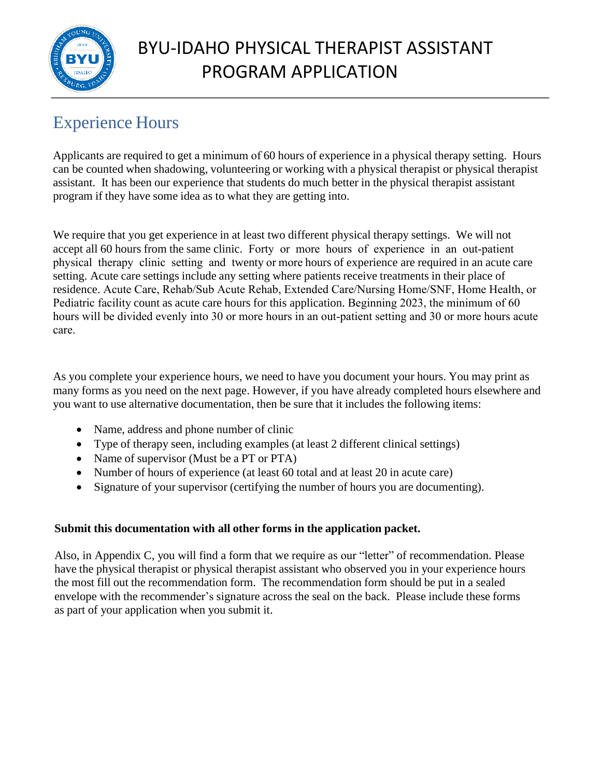

# BYU-IDAHO PHYSICAL THERAPIST ASSISTANT PROGRAM APPLICATION

### Experience Hours

Applicants are required to get a minimum of 60 hours of experience in a physical therapy setting. Hours can be counted when shadowing, volunteering or working with a physical therapist or physical therapist assistant. It has been our experience that students do much better in the physical therapist assistant program if they have some idea as to what they are getting into.

We require that you get experience in at least two different physical therapy settings. We will not accept all 60 hours from the same clinic. Forty or more hours of experience in an out-patient physical therapy clinic setting and twenty or more hours of experience are required in an acute care setting. Acute care settings include any setting where patients receive treatments in their place of residence. Acute Care, Rehab/Sub Acute Rehab, Extended Care/Nursing Home/SNF, Home Health, or Pediatric facility count as acute care hours for this application. Beginning 2023, the minimum of 60 hours will be divided evenly into 30 or more hours in an out-patient setting and 30 or more hours acute care.

As you complete your experience hours, we need to have you document your hours. You may print as many forms as you need on the next page. However, if you have already completed hours elsewhere and you want to use alternative documentation, then be sure that it includes the following items:

- Name, address and phone number of clinic
- Type of therapy seen, including examples (at least 2 different clinical settings)
- Name of supervisor (Must be a PT or PTA)
- Number of hours of experience (at least 60 total and at least 20 in acute care)
- Signature of your supervisor (certifying the number of hours you are documenting).

#### **Submit this documentation with all other forms in the application packet.**

Also, in Appendix C, you will find a form that we require as our "letter" of recommendation. Please have the physical therapist or physical therapist assistant who observed you in your experience hours the most fill out the recommendation form. The recommendation form should be put in a sealed envelope with the recommender's signature across the seal on the back. Please include these forms as part of your application when you submit it.